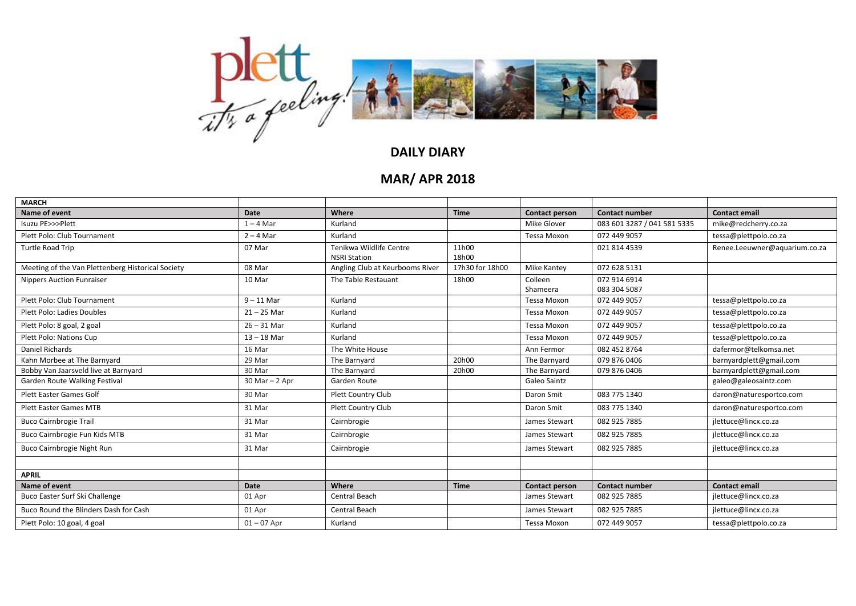

## **DAILY DIARY**

## **MAR/ APR 2018**

| <b>MARCH</b>                                      |                    |                                 |                 |                       |                             |                               |
|---------------------------------------------------|--------------------|---------------------------------|-----------------|-----------------------|-----------------------------|-------------------------------|
| Name of event                                     | <b>Date</b>        | Where                           | <b>Time</b>     | <b>Contact person</b> | <b>Contact number</b>       | <b>Contact email</b>          |
| Isuzu PE>>>Plett                                  | $1 - 4$ Mar        | Kurland                         |                 | Mike Glover           | 083 601 3287 / 041 581 5335 | mike@redcherry.co.za          |
| Plett Polo: Club Tournament                       | $2 - 4$ Mar        | Kurland                         |                 | <b>Tessa Moxon</b>    | 072 449 9057                | tessa@plettpolo.co.za         |
| Turtle Road Trip                                  | 07 Mar             | Tenikwa Wildlife Centre         | 11h00           |                       | 021 814 4539                | Renee.Leeuwner@aquarium.co.za |
|                                                   |                    | <b>NSRI Station</b>             | 18h00           |                       |                             |                               |
| Meeting of the Van Plettenberg Historical Society | 08 Mar             | Angling Club at Keurbooms River | 17h30 for 18h00 | Mike Kantey           | 072 628 5131                |                               |
| <b>Nippers Auction Funraiser</b>                  | 10 Mar             | The Table Restauant             | 18h00           | Colleen               | 072 914 6914                |                               |
|                                                   |                    |                                 |                 | Shameera              | 083 304 5087                |                               |
| Plett Polo: Club Tournament                       | $9 - 11$ Mar       | Kurland                         |                 | Tessa Moxon           | 072 449 9057                | tessa@plettpolo.co.za         |
| Plett Polo: Ladies Doubles                        | $21 - 25$ Mar      | Kurland                         |                 | Tessa Moxon           | 072 449 9057                | tessa@plettpolo.co.za         |
| Plett Polo: 8 goal, 2 goal                        | $26 - 31$ Mar      | Kurland                         |                 | <b>Tessa Moxon</b>    | 072 449 9057                | tessa@plettpolo.co.za         |
| Plett Polo: Nations Cup                           | $13 - 18$ Mar      | Kurland                         |                 | <b>Tessa Moxon</b>    | 072 449 9057                | tessa@plettpolo.co.za         |
| Daniel Richards                                   | 16 Mar             | The White House                 |                 | Ann Fermor            | 082 452 8764                | dafermor@telkomsa.net         |
| Kahn Morbee at The Barnyard                       | 29 Mar             | The Barnyard                    | 20h00           | The Barnyard          | 079 876 0406                | barnyardplett@gmail.com       |
| Bobby Van Jaarsveld live at Barnyard              | 30 Mar             | The Barnyard                    | 20h00           | The Barnyard          | 079 876 0406                | barnyardplett@gmail.com       |
| Garden Route Walking Festival                     | $30$ Mar $- 2$ Apr | Garden Route                    |                 | Galeo Saintz          |                             | galeo@galeosaintz.com         |
| <b>Plett Easter Games Golf</b>                    | 30 Mar             | Plett Country Club              |                 | Daron Smit            | 083 775 1340                | daron@naturesportco.com       |
| <b>Plett Easter Games MTB</b>                     | 31 Mar             | Plett Country Club              |                 | Daron Smit            | 083 775 1340                | daron@naturesportco.com       |
| <b>Buco Cairnbrogie Trail</b>                     | 31 Mar             | Cairnbrogie                     |                 | James Stewart         | 082 925 7885                | jlettuce@lincx.co.za          |
| Buco Cairnbrogie Fun Kids MTB                     | 31 Mar             | Cairnbrogie                     |                 | James Stewart         | 082 925 7885                | jlettuce@lincx.co.za          |
| Buco Cairnbrogie Night Run                        | 31 Mar             | Cairnbrogie                     |                 | James Stewart         | 082 925 7885                | jlettuce@lincx.co.za          |
|                                                   |                    |                                 |                 |                       |                             |                               |
| <b>APRIL</b>                                      |                    |                                 |                 |                       |                             |                               |
| Name of event                                     | <b>Date</b>        | Where                           | <b>Time</b>     | <b>Contact person</b> | <b>Contact number</b>       | <b>Contact email</b>          |
| Buco Easter Surf Ski Challenge                    | 01 Apr             | Central Beach                   |                 | James Stewart         | 082 925 7885                | jlettuce@lincx.co.za          |
| Buco Round the Blinders Dash for Cash             | 01 Apr             | Central Beach                   |                 | James Stewart         | 082 925 7885                | jlettuce@lincx.co.za          |
| Plett Polo: 10 goal, 4 goal                       | $01 - 07$ Apr      | Kurland                         |                 | Tessa Moxon           | 072 449 9057                | tessa@plettpolo.co.za         |